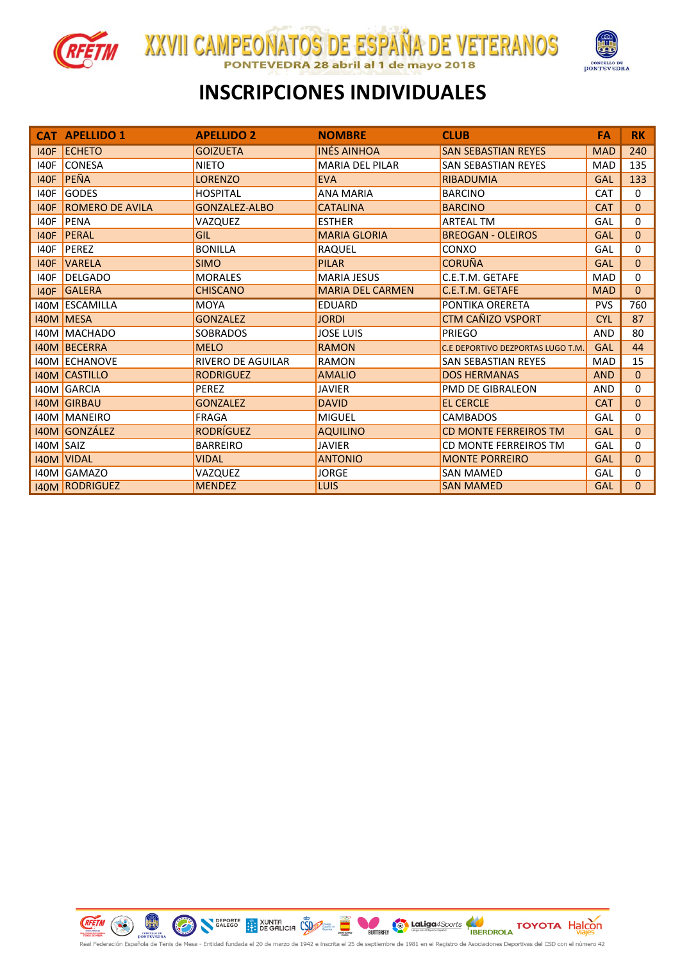



# **INSCRIPCIONES INDIVIDUALES**

XXVII CAMPEONATOS DE ESPAÑA DE VETERANOS

28 abril al 1 de mayo 2018

| <b>CAT</b>  | <b>APELLIDO 1</b>      | <b>APELLIDO 2</b>        | <b>NOMBRE</b>           | <b>CLUB</b>                       | FA         | <b>RK</b> |
|-------------|------------------------|--------------------------|-------------------------|-----------------------------------|------------|-----------|
|             | 140F ECHETO            | <b>GOIZUETA</b>          | <b>INÉS AINHOA</b>      | <b>SAN SEBASTIAN REYES</b>        | <b>MAD</b> | 240       |
| 140F        | <b>CONESA</b>          | <b>NIETO</b>             | <b>MARIA DEL PILAR</b>  | <b>SAN SEBASTIAN REYES</b>        | <b>MAD</b> | 135       |
| <b>I40F</b> | <b>PEÑA</b>            | <b>LORENZO</b>           | <b>EVA</b>              | <b>RIBADUMIA</b>                  | <b>GAL</b> | 133       |
| 140F        | <b>GODES</b>           | <b>HOSPITAL</b>          | <b>ANA MARIA</b>        | <b>BARCINO</b>                    | CAT        | $\Omega$  |
| <b>I40F</b> | <b>ROMERO DE AVILA</b> | GONZALEZ-ALBO            | <b>CATALINA</b>         | <b>BARCINO</b>                    | <b>CAT</b> | $\Omega$  |
| 140F        | <b>PENA</b>            | VAZQUEZ                  | <b>ESTHER</b>           | <b>ARTEAL TM</b>                  | GAL        | $\Omega$  |
| <b>I40F</b> | PERAL                  | <b>GIL</b>               | <b>MARIA GLORIA</b>     | <b>BREOGAN - OLEIROS</b>          | GAL        | $\Omega$  |
| 140F        | PEREZ                  | <b>BONILLA</b>           | <b>RAQUEL</b>           | CONXO                             | GAL        | $\Omega$  |
| <b>I40F</b> | <b>VARELA</b>          | <b>SIMO</b>              | <b>PILAR</b>            | <b>CORUÑA</b>                     | <b>GAL</b> | $\Omega$  |
| 140F        | <b>DELGADO</b>         | <b>MORALES</b>           | <b>MARIA JESUS</b>      | C.E.T.M. GETAFE                   | <b>MAD</b> | $\Omega$  |
|             | 140F GALERA            | <b>CHISCANO</b>          | <b>MARIA DEL CARMEN</b> | C.E.T.M. GETAFE                   | <b>MAD</b> | $\Omega$  |
|             | <b>I40M ESCAMILLA</b>  | <b>MOYA</b>              | <b>EDUARD</b>           | PONTIKA ORERETA                   | <b>PVS</b> | 760       |
|             | <b>I40M MESA</b>       | <b>GONZALEZ</b>          | <b>JORDI</b>            | <b>CTM CAÑIZO VSPORT</b>          | <b>CYL</b> | 87        |
|             | 140M MACHADO           | <b>SOBRADOS</b>          | <b>JOSE LUIS</b>        | PRIEGO                            | <b>AND</b> | 80        |
|             | 140M BECERRA           | <b>MELO</b>              | <b>RAMON</b>            | C.E DEPORTIVO DEZPORTAS LUGO T.M. | <b>GAL</b> | 44        |
|             | 140M ECHANOVE          | <b>RIVERO DE AGUILAR</b> | <b>RAMON</b>            | <b>SAN SEBASTIAN REYES</b>        | <b>MAD</b> | 15        |
|             | <b>140M CASTILLO</b>   | <b>RODRIGUEZ</b>         | <b>AMALIO</b>           | <b>DOS HERMANAS</b>               | <b>AND</b> | $\Omega$  |
|             | 140M GARCIA            | <b>PEREZ</b>             | <b>JAVIER</b>           | <b>PMD DE GIBRALEON</b>           | <b>AND</b> | $\Omega$  |
|             | <b>I40M GIRBAU</b>     | <b>GONZALEZ</b>          | <b>DAVID</b>            | <b>EL CERCLE</b>                  | <b>CAT</b> | $\Omega$  |
|             | 140M MANEIRO           | <b>FRAGA</b>             | <b>MIGUEL</b>           | <b>CAMBADOS</b>                   | GAL        | $\Omega$  |
|             | 140M GONZÁLEZ          | <b>RODRÍGUEZ</b>         | <b>AQUILINO</b>         | <b>CD MONTE FERREIROS TM</b>      | <b>GAL</b> | $\Omega$  |
| 140M SAIZ   |                        | <b>BARREIRO</b>          | <b>JAVIER</b>           | CD MONTE FERREIROS TM             | GAL        | $\Omega$  |
|             | <b>I40M VIDAL</b>      | <b>VIDAL</b>             | <b>ANTONIO</b>          | <b>MONTE PORREIRO</b>             | <b>GAL</b> | $\Omega$  |
|             | 140M GAMAZO            | VAZQUEZ                  | <b>JORGE</b>            | <b>SAN MAMED</b>                  | GAL        | $\Omega$  |
|             | <b>140M RODRIGUEZ</b>  | <b>MENDEZ</b>            | <b>LUIS</b>             | <b>SAN MAMED</b>                  | <b>GAL</b> | $\Omega$  |

REETM CO PONTEVEDEA **Canadiga 4Sports** COYOTA Halcon BUTTERFLY ростетелна<br>ñola de Tenis de Mesa - Entidad fundada el 20 de marzo de 1942 e inscrita el 25 de septiembre de 1981 en Registro de Asociaciones Deportivas del CSD con el número 42

**DEPORTE** EXUNTA COPY ::

 $\bigcirc$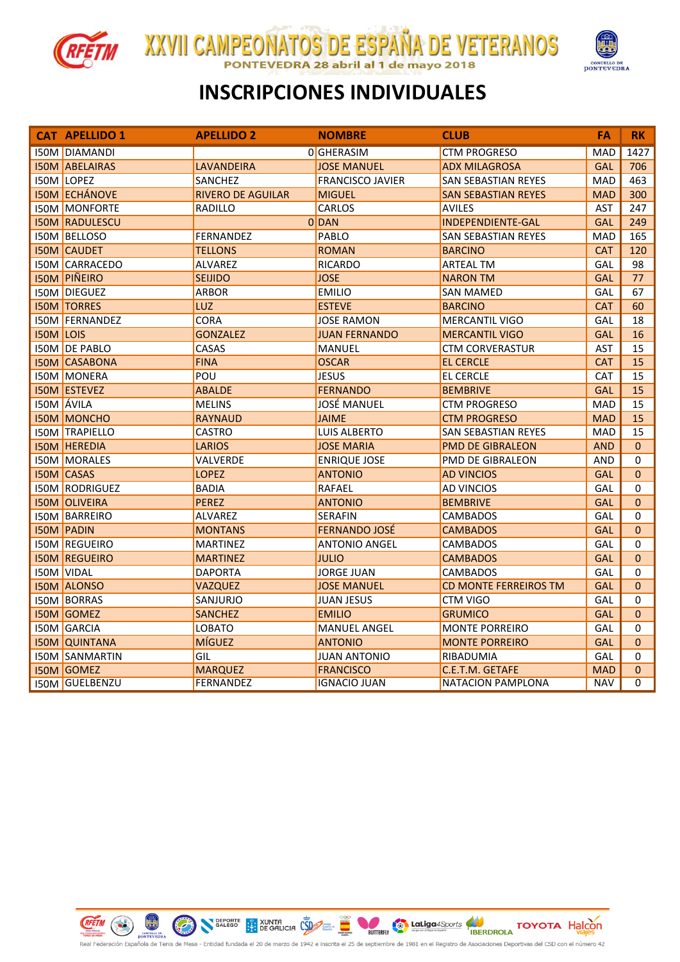



#### **INSCRIPCIONES INDIVIDUALES**

XXVII CAMPEONATOS DE ESPAÑA DE VETERANOS

28 abril al 1 de mayo 2018

|                  | <b>CAT APELLIDO 1</b> | <b>APELLIDO 2</b>        | <b>NOMBRE</b>           | <b>CLUB</b>                  | FA         | <b>RK</b>    |
|------------------|-----------------------|--------------------------|-------------------------|------------------------------|------------|--------------|
|                  | <b>I50M DIAMANDI</b>  |                          | 0 GHERASIM              | <b>CTM PROGRESO</b>          | <b>MAD</b> | 1427         |
|                  | <b>I50M ABELAIRAS</b> | <b>LAVANDEIRA</b>        | <b>JOSE MANUEL</b>      | <b>ADX MILAGROSA</b>         | <b>GAL</b> | 706          |
|                  | <b>I50M LOPEZ</b>     | <b>SANCHEZ</b>           | <b>FRANCISCO JAVIER</b> | <b>SAN SEBASTIAN REYES</b>   | <b>MAD</b> | 463          |
|                  | <b>I50M ECHÁNOVE</b>  | <b>RIVERO DE AGUILAR</b> | <b>MIGUEL</b>           | <b>SAN SEBASTIAN REYES</b>   | <b>MAD</b> | 300          |
|                  | <b>ISOM MONFORTE</b>  | <b>RADILLO</b>           | <b>CARLOS</b>           | <b>AVILES</b>                | <b>AST</b> | 247          |
|                  | <b>ISOM RADULESCU</b> |                          | 0 DAN                   | <b>INDEPENDIENTE-GAL</b>     | <b>GAL</b> | 249          |
|                  | <b>I50M BELLOSO</b>   | <b>FERNANDEZ</b>         | PABLO                   | <b>SAN SEBASTIAN REYES</b>   | <b>MAD</b> | 165          |
|                  | <b>I50M CAUDET</b>    | <b>TELLONS</b>           | <b>ROMAN</b>            | <b>BARCINO</b>               | <b>CAT</b> | 120          |
|                  | <b>I50M CARRACEDO</b> | ALVAREZ                  | <b>RICARDO</b>          | <b>ARTEAL TM</b>             | GAL        | 98           |
|                  | <b>ISOM PIÑEIRO</b>   | <b>SEIJIDO</b>           | <b>JOSE</b>             | <b>NARON TM</b>              | <b>GAL</b> | 77           |
|                  | <b>ISOM DIEGUEZ</b>   | <b>ARBOR</b>             | <b>EMILIO</b>           | <b>SAN MAMED</b>             | GAL        | 67           |
|                  | <b>I50M TORRES</b>    | <b>LUZ</b>               | <b>ESTEVE</b>           | <b>BARCINO</b>               | <b>CAT</b> | 60           |
|                  | <b>ISOM FERNANDEZ</b> | <b>CORA</b>              | <b>JOSE RAMON</b>       | <b>MERCANTIL VIGO</b>        | GAL        | 18           |
| <b>I50M LOIS</b> |                       | <b>GONZALEZ</b>          | <b>JUAN FERNANDO</b>    | <b>MERCANTIL VIGO</b>        | <b>GAL</b> | 16           |
|                  | <b>I50M DE PABLO</b>  | CASAS                    | MANUEL                  | <b>CTM CORVERASTUR</b>       | AST        | 15           |
|                  | <b>I50M CASABONA</b>  | <b>FINA</b>              | <b>OSCAR</b>            | <b>EL CERCLE</b>             | <b>CAT</b> | 15           |
|                  | I50M MONERA           | POU                      | <b>JESUS</b>            | EL CERCLE                    | <b>CAT</b> | 15           |
|                  | <b>I50M ESTEVEZ</b>   | <b>ABALDE</b>            | <b>FERNANDO</b>         | <b>BEMBRIVE</b>              | <b>GAL</b> | 15           |
|                  | <b>I50M</b> ÁVILA     | <b>MELINS</b>            | <b>JOSÉ MANUEL</b>      | <b>CTM PROGRESO</b>          | <b>MAD</b> | 15           |
|                  | <b>I50M MONCHO</b>    | <b>RAYNAUD</b>           | <b>JAIME</b>            | <b>CTM PROGRESO</b>          | <b>MAD</b> | 15           |
|                  | <b>I50M TRAPIELLO</b> | <b>CASTRO</b>            | <b>LUIS ALBERTO</b>     | <b>SAN SEBASTIAN REYES</b>   | <b>MAD</b> | 15           |
|                  | <b>I50M HEREDIA</b>   | <b>LARIOS</b>            | <b>JOSE MARIA</b>       | <b>PMD DE GIBRALEON</b>      | <b>AND</b> | $\Omega$     |
|                  | <b>I50M MORALES</b>   | VALVERDE                 | <b>ENRIQUE JOSE</b>     | PMD DE GIBRALEON             | <b>AND</b> | 0            |
|                  | <b>I50M CASAS</b>     | <b>LOPEZ</b>             | <b>ANTONIO</b>          | <b>AD VINCIOS</b>            | <b>GAL</b> | $\mathbf{0}$ |
|                  | <b>I50M RODRIGUEZ</b> | <b>BADIA</b>             | <b>RAFAEL</b>           | <b>AD VINCIOS</b>            | GAL        | 0            |
|                  | <b>I50M OLIVEIRA</b>  | PEREZ                    | <b>ANTONIO</b>          | <b>BEMBRIVE</b>              | <b>GAL</b> | $\mathbf{0}$ |
|                  | <b>I50M BARREIRO</b>  | <b>ALVAREZ</b>           | SERAFIN                 | <b>CAMBADOS</b>              | GAL        | 0            |
|                  | <b>I50M PADIN</b>     | <b>MONTANS</b>           | <b>FERNANDO JOSÉ</b>    | <b>CAMBADOS</b>              | <b>GAL</b> | $\Omega$     |
|                  | <b>ISOM REGUEIRO</b>  | <b>MARTINEZ</b>          | <b>ANTONIO ANGEL</b>    | <b>CAMBADOS</b>              | GAL        | 0            |
|                  | <b>I50M REGUEIRO</b>  | <b>MARTINEZ</b>          | <b>JULIO</b>            | <b>CAMBADOS</b>              | <b>GAL</b> | $\Omega$     |
|                  | I50M VIDAL            | <b>DAPORTA</b>           | <b>JORGE JUAN</b>       | <b>CAMBADOS</b>              | GAL        | 0            |
|                  | <b>I50M ALONSO</b>    | <b>VAZQUEZ</b>           | <b>JOSE MANUEL</b>      | <b>CD MONTE FERREIROS TM</b> | <b>GAL</b> | $\Omega$     |
|                  | <b>ISOM BORRAS</b>    | SANJURJO                 | <b>JUAN JESUS</b>       | <b>CTM VIGO</b>              | GAL        | 0            |
|                  | <b>I50M GOMEZ</b>     | <b>SANCHEZ</b>           | <b>EMILIO</b>           | <b>GRUMICO</b>               | <b>GAL</b> | $\mathbf{0}$ |
|                  | <b>I50M GARCIA</b>    | <b>LOBATO</b>            | <b>MANUEL ANGEL</b>     | <b>MONTE PORREIRO</b>        | GAL        | 0            |
|                  | <b>ISOM QUINTANA</b>  | <b>MÍGUEZ</b>            | <b>ANTONIO</b>          | <b>MONTE PORREIRO</b>        | <b>GAL</b> | $\Omega$     |
|                  | <b>I50M SANMARTIN</b> | GIL                      | <b>JUAN ANTONIO</b>     | RIBADUMIA                    | GAL        | 0            |
|                  | <b>I50M GOMEZ</b>     | <b>MARQUEZ</b>           | <b>FRANCISCO</b>        | C.E.T.M. GETAFE              | <b>MAD</b> | $\pmb{0}$    |
|                  | <b>I50M GUELBENZU</b> | <b>FERNANDEZ</b>         | <b>IGNACIO JUAN</b>     | NATACION PAMPLONA            | <b>NAV</b> | 0            |

**REETIN** CO PONTEVEDRA

**Canadiga 4Sports** COYOTA Halcon SEPORTE BY XUNTA CONTE TO BUTTERFLY onteventa<br>iola de Tenis de Mesa - Entidad fundada el 20 de marzo de 1942 e inscrita el 25 de septiembre de 1981 egistro de Asociaciones Deportivas del CSD con el número 42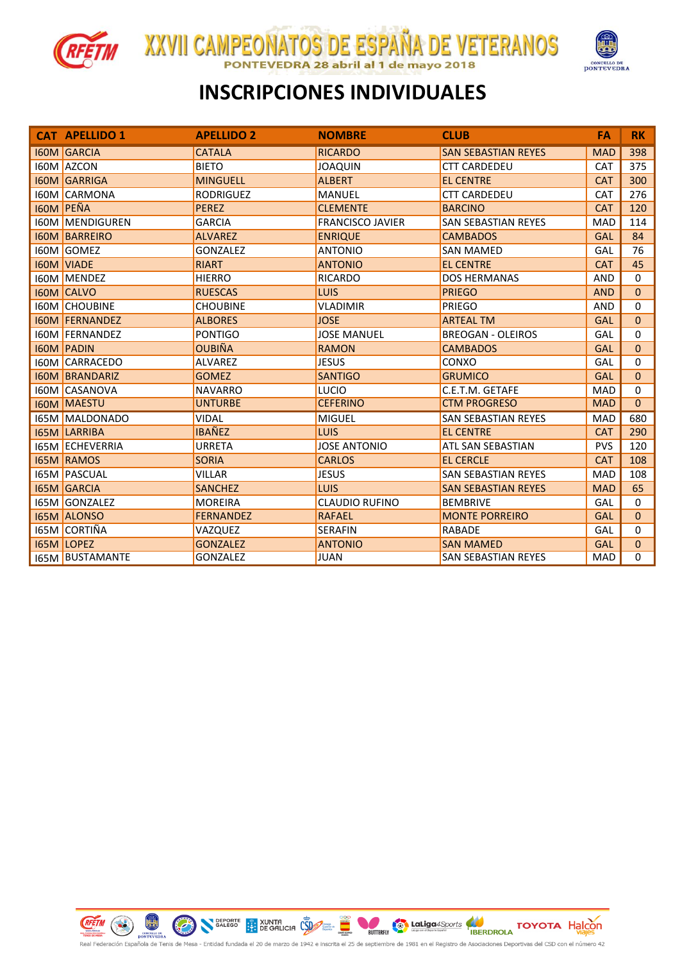



#### **INSCRIPCIONES INDIVIDUALES**

**XXVII CAMPEONATOS DE ESPAÑA DE VETERANOS** 

28 abril al 1 de mayo 2018

|      | <b>CAT APELLIDO 1</b>  | <b>APELLIDO 2</b> | <b>NOMBRE</b>           | <b>CLUB</b>                | FA         | <b>RK</b>   |
|------|------------------------|-------------------|-------------------------|----------------------------|------------|-------------|
|      | <b>I60M GARCIA</b>     | <b>CATALA</b>     | <b>RICARDO</b>          | <b>SAN SEBASTIAN REYES</b> | <b>MAD</b> | 398         |
|      | 160M AZCON             | <b>BIETO</b>      | <b>JOAQUIN</b>          | <b>CTT CARDEDEU</b>        | <b>CAT</b> | 375         |
|      | <b>I60M GARRIGA</b>    | <b>MINGUELL</b>   | <b>ALBERT</b>           | <b>EL CENTRE</b>           | <b>CAT</b> | 300         |
|      | <b>I60M CARMONA</b>    | <b>RODRIGUEZ</b>  | <b>MANUEL</b>           | <b>CTT CARDEDEU</b>        | <b>CAT</b> | 276         |
|      | <b>I60M PEÑA</b>       | <b>PEREZ</b>      | <b>CLEMENTE</b>         | <b>BARCINO</b>             | <b>CAT</b> | 120         |
|      | <b>I60M MENDIGUREN</b> | <b>GARCIA</b>     | <b>FRANCISCO JAVIER</b> | <b>SAN SEBASTIAN REYES</b> | <b>MAD</b> | 114         |
|      | <b>160M BARREIRO</b>   | <b>ALVAREZ</b>    | <b>ENRIQUE</b>          | <b>CAMBADOS</b>            | <b>GAL</b> | 84          |
|      | <b>I60M GOMEZ</b>      | <b>GONZALEZ</b>   | <b>ANTONIO</b>          | <b>SAN MAMED</b>           | GAL        | 76          |
|      | <b>I60M VIADE</b>      | <b>RIART</b>      | <b>ANTONIO</b>          | <b>EL CENTRE</b>           | <b>CAT</b> | 45          |
|      | <b>I60M MENDEZ</b>     | <b>HIERRO</b>     | <b>RICARDO</b>          | <b>DOS HERMANAS</b>        | <b>AND</b> | 0           |
|      | <b>160M CALVO</b>      | <b>RUESCAS</b>    | <b>LUIS</b>             | <b>PRIEGO</b>              | <b>AND</b> | $\Omega$    |
|      | <b>160M CHOUBINE</b>   | <b>CHOUBINE</b>   | <b>VLADIMIR</b>         | <b>PRIEGO</b>              | <b>AND</b> | $\Omega$    |
|      | <b>I60M FERNANDEZ</b>  | <b>ALBORES</b>    | <b>JOSE</b>             | <b>ARTEAL TM</b>           | <b>GAL</b> | $\Omega$    |
|      | <b>I60M FERNANDEZ</b>  | <b>PONTIGO</b>    | <b>JOSE MANUEL</b>      | <b>BREOGAN - OLEIROS</b>   | GAL        | 0           |
|      | <b>I60M PADIN</b>      | <b>OUBIÑA</b>     | <b>RAMON</b>            | <b>CAMBADOS</b>            | <b>GAL</b> | $\Omega$    |
|      | <b>IGOM CARRACEDO</b>  | <b>ALVAREZ</b>    | <b>JESUS</b>            | CONXO                      | GAL        | 0           |
|      | <b>160M BRANDARIZ</b>  | <b>GOMEZ</b>      | <b>SANTIGO</b>          | <b>GRUMICO</b>             | <b>GAL</b> | $\Omega$    |
|      | <b>I60M CASANOVA</b>   | <b>NAVARRO</b>    | LUCIO                   | C.E.T.M. GETAFE            | <b>MAD</b> | 0           |
|      | <b>I60M MAESTU</b>     | <b>UNTURBE</b>    | <b>CEFERINO</b>         | <b>CTM PROGRESO</b>        | <b>MAD</b> | $\Omega$    |
|      | <b>I65M MALDONADO</b>  | <b>VIDAL</b>      | <b>MIGUEL</b>           | <b>SAN SEBASTIAN REYES</b> | <b>MAD</b> | 680         |
|      | <b>165M LARRIBA</b>    | <b>IBAÑEZ</b>     | LUIS                    | <b>EL CENTRE</b>           | <b>CAT</b> | 290         |
|      | <b>I65M ECHEVERRIA</b> | <b>URRETA</b>     | <b>JOSE ANTONIO</b>     | ATL SAN SEBASTIAN          | <b>PVS</b> | 120         |
|      | <b>I65M RAMOS</b>      | <b>SORIA</b>      | <b>CARLOS</b>           | <b>EL CERCLE</b>           | <b>CAT</b> | 108         |
|      | <b>I65M PASCUAL</b>    | <b>VILLAR</b>     | <b>JESUS</b>            | <b>SAN SEBASTIAN REYES</b> | <b>MAD</b> | 108         |
|      | <b>I65M GARCIA</b>     | <b>SANCHEZ</b>    | <b>LUIS</b>             | <b>SAN SEBASTIAN REYES</b> | <b>MAD</b> | 65          |
| 165M | <b>GONZALEZ</b>        | <b>MOREIRA</b>    | <b>CLAUDIO RUFINO</b>   | <b>BEMBRIVE</b>            | GAL        | $\Omega$    |
|      | <b>165M ALONSO</b>     | <b>FERNANDEZ</b>  | <b>RAFAEL</b>           | <b>MONTE PORREIRO</b>      | <b>GAL</b> | $\mathbf 0$ |
|      | 165M CORTIÑA           | VAZQUEZ           | <b>SERAFIN</b>          | <b>RABADE</b>              | GAL        | $\Omega$    |
|      | <b>I65M LOPEZ</b>      | <b>GONZALEZ</b>   | <b>ANTONIO</b>          | <b>SAN MAMED</b>           | <b>GAL</b> | $\Omega$    |
|      | <b>I65M BUSTAMANTE</b> | <b>GONZALEZ</b>   | <b>JUAN</b>             | <b>SAN SEBASTIAN REYES</b> | <b>MAD</b> | $\Omega$    |



**Cap LaLiga** 4Sports **COVOTA** Halcon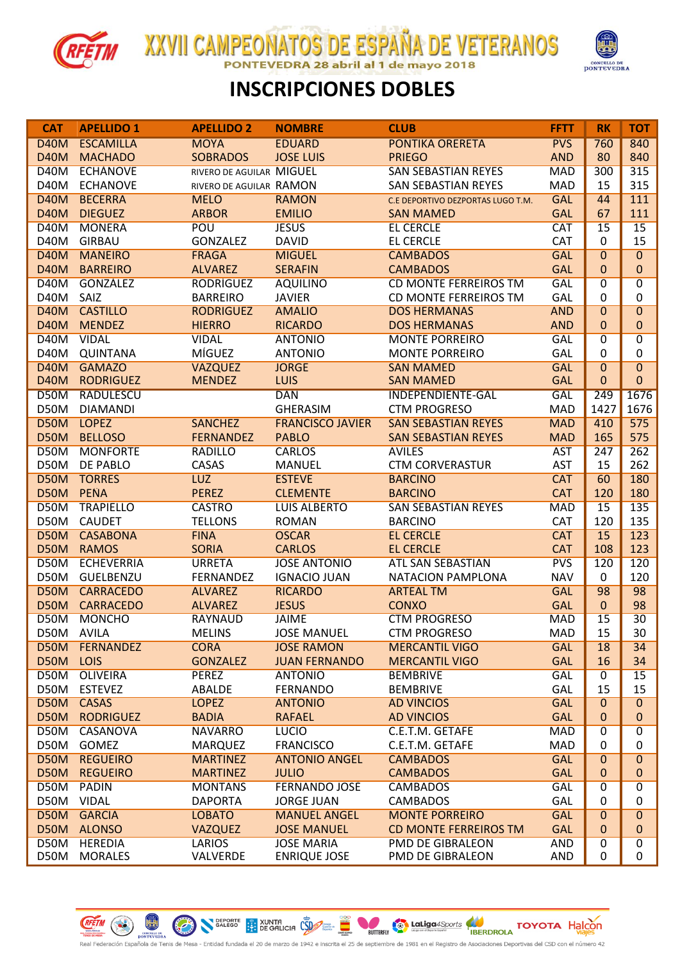

**XXVII CAMPEONATOS DE ESPAÑA DE VETERANOS** 28 abril al 1 de mayo 2018 **FDRA** 



#### **INSCRIPCIONES DOBLES**

| <b>CAT</b>                 | <b>APELLIDO 1</b>     | <b>APELLIDO 2</b>          | <b>NOMBRE</b>                    | <b>CLUB</b>                       | <b>FFTT</b>              | <b>RK</b>      | <b>TOT</b>     |
|----------------------------|-----------------------|----------------------------|----------------------------------|-----------------------------------|--------------------------|----------------|----------------|
| <b>D40M</b>                | <b>ESCAMILLA</b>      | <b>MOYA</b>                | <b>EDUARD</b>                    | <b>PONTIKA ORERETA</b>            | <b>PVS</b>               | 760            | 840            |
| <b>D40M</b>                | <b>MACHADO</b>        | <b>SOBRADOS</b>            | <b>JOSE LUIS</b>                 | <b>PRIEGO</b>                     | <b>AND</b>               | 80             | 840            |
| D40M                       | <b>ECHÁNOVE</b>       | RIVERO DE AGUILAR MIGUEL   |                                  | <b>SAN SEBASTIAN REYES</b>        | <b>MAD</b>               | 300            | 315            |
| D40M                       | <b>ECHANOVE</b>       | RIVERO DE AGUILAR RAMON    |                                  | <b>SAN SEBASTIAN REYES</b>        | <b>MAD</b>               | 15             | 315            |
| <b>D40M</b>                | <b>BECERRA</b>        | <b>MELO</b>                | <b>RAMON</b>                     | C.E DEPORTIVO DEZPORTAS LUGO T.M. | <b>GAL</b>               | 44             | 111            |
| <b>D40M</b>                | <b>DIEGUEZ</b>        | <b>ARBOR</b>               | <b>EMILIO</b>                    | <b>SAN MAMED</b>                  | <b>GAL</b>               | 67             | 111            |
| <b>D40M</b>                | <b>MONERA</b>         | POU                        | <b>JESUS</b>                     | <b>EL CERCLE</b>                  | <b>CAT</b>               | 15             | 15             |
| <b>D40M</b>                | <b>GIRBAU</b>         | <b>GONZALEZ</b>            | <b>DAVID</b>                     | <b>EL CERCLE</b>                  | CAT                      | 0              | 15             |
| <b>D40M</b>                | <b>MANEIRO</b>        | <b>FRAGA</b>               | <b>MIGUEL</b>                    | <b>CAMBADOS</b>                   | <b>GAL</b>               | 0              | $\overline{0}$ |
| <b>D40M</b>                | <b>BARREIRO</b>       | <b>ALVAREZ</b>             | <b>SERAFIN</b>                   | <b>CAMBADOS</b>                   | <b>GAL</b>               | $\mathbf{0}$   | $\mathbf{0}$   |
| D40M                       | <b>GONZÁLEZ</b>       | <b>RODRÍGUEZ</b>           | <b>AQUILINO</b>                  | <b>CD MONTE FERREIROS TM</b>      | <b>GAL</b>               | 0              | $\overline{0}$ |
| D40M                       | SAIZ                  | <b>BARREIRO</b>            | <b>JAVIER</b>                    | CD MONTE FERREIROS TM             | GAL                      | 0              | 0              |
| <b>D40M</b>                | <b>CASTILLO</b>       | <b>RODRIGUEZ</b>           | <b>AMALIO</b>                    | <b>DOS HERMANAS</b>               | <b>AND</b>               | 0              | $\overline{0}$ |
| <b>D40M</b>                | <b>MENDEZ</b>         | <b>HIERRO</b>              | <b>RICARDO</b>                   | <b>DOS HERMANAS</b>               | <b>AND</b>               | $\mathbf{0}$   | $\mathbf{0}$   |
| <b>D40M</b>                | <b>VIDAL</b>          | <b>VIDAL</b>               | <b>ANTONIO</b>                   | <b>MONTE PORREIRO</b>             | <b>GAL</b>               | 0              | $\overline{0}$ |
| <b>D40M</b>                | <b>QUINTANA</b>       | MÍGUEZ                     | <b>ANTONIO</b>                   | <b>MONTE PORREIRO</b>             | <b>GAL</b>               | $\mathbf 0$    | 0              |
| <b>D40M</b>                | <b>GAMAZO</b>         | <b>VAZQUEZ</b>             | <b>JORGE</b>                     | <b>SAN MAMED</b>                  | <b>GAL</b>               | $\overline{0}$ | $\overline{0}$ |
| <b>D40M</b>                | <b>RODRIGUEZ</b>      | <b>MENDEZ</b>              | <b>LUIS</b>                      | <b>SAN MAMED</b>                  | <b>GAL</b>               | 0              | $\mathbf{0}$   |
| <b>D50M</b>                | <b>RADULESCU</b>      |                            | <b>DAN</b>                       | <b>INDEPENDIENTE-GAL</b>          | <b>GAL</b>               | 249            | 1676           |
| D50M                       | <b>DIAMANDI</b>       |                            | <b>GHERASIM</b>                  | <b>CTM PROGRESO</b>               | <b>MAD</b>               | 1427           | 1676           |
| <b>D50M</b>                | <b>LOPEZ</b>          | <b>SANCHEZ</b>             | <b>FRANCISCO JAVIER</b>          | <b>SAN SEBASTIAN REYES</b>        | <b>MAD</b>               | 410            | 575            |
| <b>D50M</b>                | <b>BELLOSO</b>        | <b>FERNANDEZ</b>           | <b>PABLO</b>                     | <b>SAN SEBASTIAN REYES</b>        | <b>MAD</b>               | 165            | 575            |
| <b>D50M</b>                | <b>MONFORTE</b>       | <b>RADILLO</b>             | <b>CARLOS</b>                    | <b>AVILES</b>                     | <b>AST</b>               | 247            | 262            |
| D50M                       | DE PABLO              | CASAS                      | <b>MANUEL</b>                    | <b>CTM CORVERASTUR</b>            | <b>AST</b>               | 15             | 262            |
| <b>D50M</b><br><b>D50M</b> | <b>TORRES</b><br>PEÑA | <b>LUZ</b><br><b>PEREZ</b> | <b>ESTEVE</b><br><b>CLEMENTE</b> | <b>BARCINO</b><br><b>BARCINO</b>  | <b>CAT</b>               | 60             | 180            |
| <b>D50M</b>                | <b>TRAPIELLO</b>      | <b>CASTRO</b>              | <b>LUIS ALBERTO</b>              | <b>SAN SEBASTIAN REYES</b>        | <b>CAT</b><br><b>MAD</b> | 120<br>15      | 180<br>135     |
| D50M                       | <b>CAUDET</b>         | <b>TELLONS</b>             | <b>ROMAN</b>                     | <b>BARCINO</b>                    | CAT                      | 120            | 135            |
| <b>D50M</b>                | <b>CASABONA</b>       | <b>FINA</b>                | <b>OSCAR</b>                     | <b>EL CERCLE</b>                  | <b>CAT</b>               | 15             | 123            |
| D50M                       | <b>RAMOS</b>          | <b>SORIA</b>               | <b>CARLOS</b>                    | <b>EL CERCLE</b>                  | <b>CAT</b>               | 108            | 123            |
| <b>D50M</b>                | <b>ECHEVERRIA</b>     | <b>URRETA</b>              | <b>JOSE ANTONIO</b>              | <b>ATL SAN SEBASTIAN</b>          | <b>PVS</b>               | 120            | 120            |
| D50M                       | GUELBENZU             | <b>FERNANDEZ</b>           | <b>IGNACIO JUAN</b>              | <b>NATACION PAMPLONA</b>          | <b>NAV</b>               | $\mathbf 0$    | 120            |
| <b>D50M</b>                | <b>CARRACEDO</b>      | <b>ALVAREZ</b>             | <b>RICARDO</b>                   | <b>ARTEAL TM</b>                  | <b>GAL</b>               | 98             | 98             |
| D50M                       | <b>CARRACEDO</b>      | <b>ALVAREZ</b>             | <b>JESUS</b>                     | <b>CONXO</b>                      | <b>GAL</b>               | $\mathbf{0}$   | 98             |
| <b>D50M</b>                | <b>MONCHO</b>         | <b>RAYNAUD</b>             | <b>JAIME</b>                     | <b>CTM PROGRESO</b>               | <b>MAD</b>               | 15             | 30             |
|                            | D50M ÁVILA            | <b>MELINS</b>              | <b>JOSÉ MANUEL</b>               | <b>CTM PROGRESO</b>               | MAD                      | 15             | 30             |
| D50M                       | FERNANDEZ             | <b>CORA</b>                | <b>JOSE RAMON</b>                | <b>MERCANTIL VIGO</b>             | <b>GAL</b>               | 18             | 34             |
| D50M                       | LOIS                  | <b>GONZALEZ</b>            | <b>JUAN FERNANDO</b>             | <b>MERCANTIL VIGO</b>             | <b>GAL</b>               | 16             | 34             |
| D50M                       | <b>OLIVEIRA</b>       | <b>PEREZ</b>               | <b>ANTONIO</b>                   | <b>BEMBRIVE</b>                   | <b>GAL</b>               | $\overline{0}$ | 15             |
| D50M                       | <b>ESTEVEZ</b>        | ABALDE                     | <b>FERNANDO</b>                  | <b>BEMBRIVE</b>                   | <b>GAL</b>               | 15             | 15             |
| <b>D50M</b>                | <b>CASAS</b>          | <b>LOPEZ</b>               | <b>ANTONIO</b>                   | <b>AD VINCIOS</b>                 | <b>GAL</b>               | $\overline{0}$ | $\overline{0}$ |
| D50M                       | <b>RODRIGUEZ</b>      | <b>BADIA</b>               | <b>RAFAEL</b>                    | <b>AD VINCIOS</b>                 | <b>GAL</b>               | $\mathbf 0$    | $\mathbf 0$    |
| <b>D50M</b>                | <b>CASANOVA</b>       | <b>NAVARRO</b>             | <b>LUCIO</b>                     | C.E.T.M. GETAFE                   | <b>MAD</b>               | 0              | 0              |
| D50M                       | <b>GOMEZ</b>          | <b>MARQUEZ</b>             | <b>FRANCISCO</b>                 | C.E.T.M. GETAFE                   | <b>MAD</b>               | 0              | 0              |
| <b>D50M</b>                | <b>REGUEIRO</b>       | <b>MARTINEZ</b>            | <b>ANTONIO ANGEL</b>             | <b>CAMBADOS</b>                   | <b>GAL</b>               | 0              | $\mathbf 0$    |
| <b>D50M</b>                | <b>REGUEIRO</b>       | <b>MARTINEZ</b>            | <b>JULIO</b>                     | <b>CAMBADOS</b>                   | <b>GAL</b>               | 0              | $\mathbf 0$    |
| D50M                       | <b>PADIN</b>          | <b>MONTANS</b>             | <b>FERNANDO JOSÉ</b>             | <b>CAMBADOS</b>                   | <b>GAL</b>               | $\overline{0}$ | $\overline{0}$ |
| D50M                       | <b>VIDAL</b>          | <b>DAPORTA</b>             | <b>JORGE JUAN</b>                | <b>CAMBADOS</b>                   | GAL                      | 0              | 0              |
| D50M                       | <b>GARCIA</b>         | <b>LOBATO</b>              | <b>MANUEL ANGEL</b>              | <b>MONTE PORREIRO</b>             | <b>GAL</b>               | $\overline{0}$ | $\overline{0}$ |
| <b>D50M</b>                | <b>ALONSO</b>         | <b>VAZQUEZ</b>             | <b>JOSE MANUEL</b>               | <b>CD MONTE FERREIROS TM</b>      | <b>GAL</b>               | 0              | $\pmb{0}$      |
| <b>D50M</b>                | <b>HEREDIA</b>        | <b>LARIOS</b>              | <b>JOSE MARIA</b>                | <b>PMD DE GIBRALEON</b>           | <b>AND</b>               | $\overline{0}$ | $\overline{0}$ |
| D50M                       | <b>MORALES</b>        | VALVERDE                   | <b>ENRIQUE JOSE</b>              | PMD DE GIBRALEON                  | AND                      | 0              | 0              |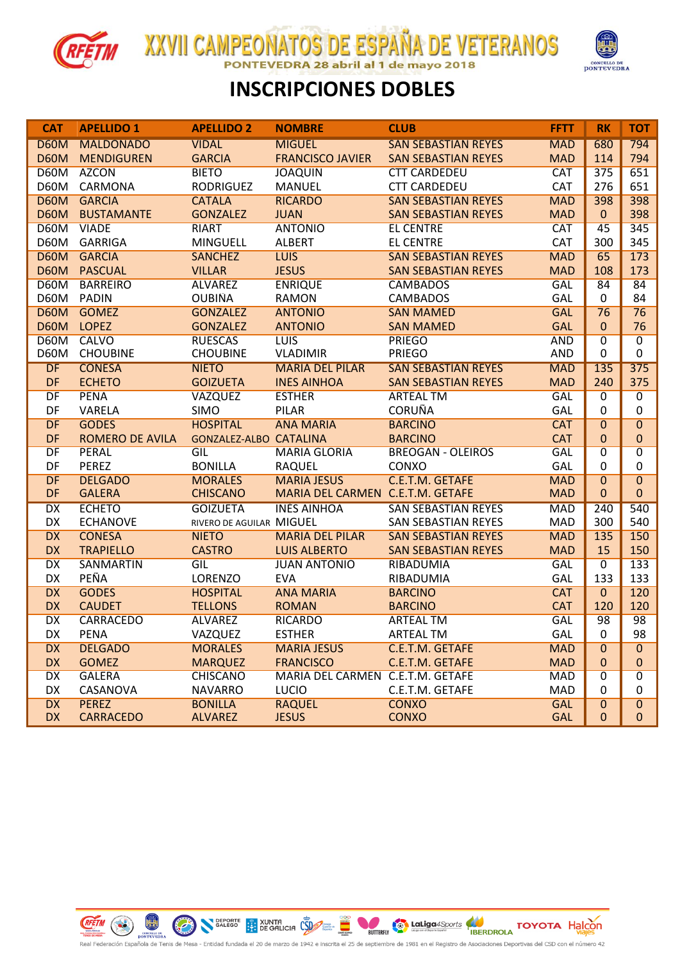

**XXVII CAMPEONATOS DE ESPAÑA DE VETERANOS** 28 abril al 1 de mayo 2018 **FDRA** 



## **INSCRIPCIONES DOBLES**

| <b>CAT</b>  | <b>APELLIDO 1</b>      | <b>APELLIDO 2</b>             | <b>NOMBRE</b>                    | <b>CLUB</b>                | <b>FFTT</b> | <b>RK</b>      | <b>TOT</b>     |
|-------------|------------------------|-------------------------------|----------------------------------|----------------------------|-------------|----------------|----------------|
| <b>D60M</b> | <b>MALDONADO</b>       | <b>VIDAL</b>                  | <b>MIGUEL</b>                    | <b>SAN SEBASTIAN REYES</b> | <b>MAD</b>  | 680            | 794            |
| <b>D60M</b> | <b>MENDIGUREN</b>      | <b>GARCIA</b>                 | <b>FRANCISCO JAVIER</b>          | <b>SAN SEBASTIAN REYES</b> | <b>MAD</b>  | 114            | 794            |
| <b>D60M</b> | <b>AZCON</b>           | <b>BIETO</b>                  | <b>JOAQUIN</b>                   | <b>CTT CARDEDEU</b>        | <b>CAT</b>  | 375            | 651            |
| D60M        | CARMONA                | <b>RODRIGUEZ</b>              | <b>MANUEL</b>                    | <b>CTT CARDEDEU</b>        | CAT         | 276            | 651            |
|             | D60M GARCIA            | <b>CATALA</b>                 | <b>RICARDO</b>                   | <b>SAN SEBASTIAN REYES</b> | <b>MAD</b>  | 398            | 398            |
|             | <b>D60M BUSTAMANTE</b> | <b>GONZALEZ</b>               | <b>JUAN</b>                      | <b>SAN SEBASTIAN REYES</b> | <b>MAD</b>  | $\mathbf{0}$   | 398            |
| <b>D60M</b> | <b>VIADE</b>           | <b>RIART</b>                  | <b>ANTONIO</b>                   | <b>EL CENTRE</b>           | <b>CAT</b>  | 45             | 345            |
| D60M        | <b>GARRIGA</b>         | <b>MINGUELL</b>               | <b>ALBERT</b>                    | <b>EL CENTRE</b>           | CAT         | 300            | 345            |
| <b>D60M</b> | <b>GARCIA</b>          | <b>SANCHEZ</b>                | <b>LUIS</b>                      | <b>SAN SEBASTIAN REYES</b> | <b>MAD</b>  | 65             | 173            |
| <b>D60M</b> | <b>PASCUAL</b>         | <b>VILLAR</b>                 | <b>JESUS</b>                     | <b>SAN SEBASTIAN REYES</b> | <b>MAD</b>  | 108            | 173            |
| <b>D60M</b> | <b>BARREIRO</b>        | <b>ALVAREZ</b>                | <b>ENRIQUE</b>                   | <b>CAMBADOS</b>            | GAL         | 84             | 84             |
| D60M        | <b>PADIN</b>           | <b>OUBIÑA</b>                 | <b>RAMON</b>                     | <b>CAMBADOS</b>            | GAL         | 0              | 84             |
| <b>D60M</b> | <b>GOMEZ</b>           | <b>GONZALEZ</b>               | <b>ANTONIO</b>                   | <b>SAN MAMED</b>           | <b>GAL</b>  | 76             | 76             |
| <b>D60M</b> | <b>LOPEZ</b>           | <b>GONZALEZ</b>               | <b>ANTONIO</b>                   | <b>SAN MAMED</b>           | <b>GAL</b>  | $\mathbf{0}$   | 76             |
| <b>D60M</b> | <b>CALVO</b>           | <b>RUESCAS</b>                | <b>LUIS</b>                      | <b>PRIEGO</b>              | <b>AND</b>  | $\overline{0}$ | $\overline{0}$ |
| D60M        | <b>CHOUBINE</b>        | <b>CHOUBINE</b>               | <b>VLADIMIR</b>                  | <b>PRIEGO</b>              | <b>AND</b>  | 0              | 0              |
| <b>DF</b>   | <b>CONESA</b>          | <b>NIETO</b>                  | <b>MARIA DEL PILAR</b>           | <b>SAN SEBASTIAN REYES</b> | <b>MAD</b>  | 135            | 375            |
| DF          | <b>ECHETO</b>          | <b>GOIZUETA</b>               | <b>INÉS AINHOA</b>               | <b>SAN SEBASTIAN REYES</b> | <b>MAD</b>  | 240            | 375            |
| DF          | <b>PENA</b>            | <b>VAZQUEZ</b>                | <b>ESTHER</b>                    | <b>ARTEAL TM</b>           | <b>GAL</b>  | $\overline{0}$ | $\overline{0}$ |
| DF          | VARELA                 | <b>SIMO</b>                   | PILAR                            | <b>CORUÑA</b>              | GAL         | $\mathbf 0$    | $\mathbf 0$    |
| DF          | <b>GODES</b>           | <b>HOSPITAL</b>               | <b>ANA MARIA</b>                 | <b>BARCINO</b>             | <b>CAT</b>  | $\overline{0}$ | $\overline{0}$ |
| DF          | <b>ROMERO DE AVILA</b> | <b>GONZALEZ-ALBO CATALINA</b> |                                  | <b>BARCINO</b>             | <b>CAT</b>  | $\mathbf{0}$   | $\pmb{0}$      |
| DF          | <b>PERAL</b>           | GIL                           | <b>MARIA GLORIA</b>              | <b>BREOGAN - OLEIROS</b>   | <b>GAL</b>  | $\overline{0}$ | $\overline{0}$ |
| DF          | <b>PEREZ</b>           | <b>BONILLA</b>                | <b>RAQUEL</b>                    | CONXO                      | GAL         | 0              | 0              |
| DF          | <b>DELGADO</b>         | <b>MORALES</b>                | <b>MARIA JESUS</b>               | C.E.T.M. GETAFE            | <b>MAD</b>  | 0              | $\overline{0}$ |
| DF          | <b>GALERA</b>          | <b>CHISCANO</b>               | MARIA DEL CARMEN C.E.T.M. GETAFE |                            | <b>MAD</b>  | $\mathbf{0}$   | $\mathbf{0}$   |
| <b>DX</b>   | <b>ECHETO</b>          | <b>GOIZUETA</b>               | <b>INES AINHOA</b>               | <b>SAN SEBASTIAN REYES</b> | <b>MAD</b>  | 240            | 540            |
| <b>DX</b>   | <b>ECHÁNOVE</b>        | RIVERO DE AGUILAR MIGUEL      |                                  | <b>SAN SEBASTIAN REYES</b> | <b>MAD</b>  | 300            | 540            |
| <b>DX</b>   | <b>CONESA</b>          | <b>NIETO</b>                  | <b>MARIA DEL PILAR</b>           | <b>SAN SEBASTIAN REYES</b> | <b>MAD</b>  | 135            | 150            |
| <b>DX</b>   | <b>TRAPIELLO</b>       | <b>CASTRO</b>                 | <b>LUIS ALBERTO</b>              | <b>SAN SEBASTIAN REYES</b> | <b>MAD</b>  | 15             | 150            |
| DX          | <b>SANMARTIN</b>       | GIL                           | <b>JUAN ANTONIO</b>              | RIBADUMIA                  | <b>GAL</b>  | $\overline{0}$ | 133            |
| <b>DX</b>   | PEÑA                   | LORENZO                       | <b>EVA</b>                       | RIBADUMIA                  | GAL         | 133            | 133            |
| <b>DX</b>   | <b>GODES</b>           | <b>HOSPITAL</b>               | <b>ANA MARIA</b>                 | <b>BARCINO</b>             | <b>CAT</b>  | $\overline{0}$ | 120            |
| <b>DX</b>   | <b>CAUDET</b>          | <b>TELLONS</b>                | <b>ROMAN</b>                     | <b>BARCINO</b>             | <b>CAT</b>  | 120            | 120            |
| DX          | <b>CARRACEDO</b>       | <b>ALVAREZ</b>                | <b>RICARDO</b>                   | <b>ARTEAL TM</b>           | <b>GAL</b>  | 98             | 98             |
| DX          | <b>PENA</b>            | VAZQUEZ                       | <b>ESTHER</b>                    | ARTEAL TM                  | GAL         | 0              | 98             |
| <b>DX</b>   | <b>DELGADO</b>         | <b>MORALES</b>                | <b>MARIA JESUS</b>               | C.E.T.M. GETAFE            | <b>MAD</b>  | 0              | $\mathbf{0}$   |
| <b>DX</b>   | <b>GOMEZ</b>           | <b>MARQUEZ</b>                | <b>FRANCISCO</b>                 | C.E.T.M. GETAFE            | <b>MAD</b>  | 0              | $\mathbf 0$    |
| DX          | <b>GALERA</b>          | <b>CHISCANO</b>               | MARIA DEL CARMEN C.E.T.M. GETAFE |                            | <b>MAD</b>  | $\overline{0}$ | $\overline{0}$ |
| <b>DX</b>   | CASANOVA               | <b>NAVARRO</b>                | <b>LUCIO</b>                     | C.E.T.M. GETAFE            | <b>MAD</b>  | 0              | 0              |
| <b>DX</b>   | <b>PEREZ</b>           | <b>BONILLA</b>                | <b>RAQUEL</b>                    | <b>CONXO</b>               | <b>GAL</b>  | $\overline{0}$ | $\overline{0}$ |
| <b>DX</b>   | <b>CARRACEDO</b>       | <b>ALVAREZ</b>                | <b>JESUS</b>                     | <b>CONXO</b>               | <b>GAL</b>  | $\mathbf{0}$   | $\mathbf 0$    |

**Canadiga 4Sports** COYOTA Halcon

.<br>Registro de Asociaciones Deportivas del CSD con el número 42

**CEFTIN** CONTRESSER CONTRESSER CONTRESSER CONTRESSER CONTRESSER DE GALLEGO CONTRESSER CONTRESSER CONTRESSER CONTRESSER CONTRESSER CONTRESSER CONTRESSER CONTRESSER CONTRESSER CONTRESSER CONTRESSER CONTRESSER CONTRESSER CONT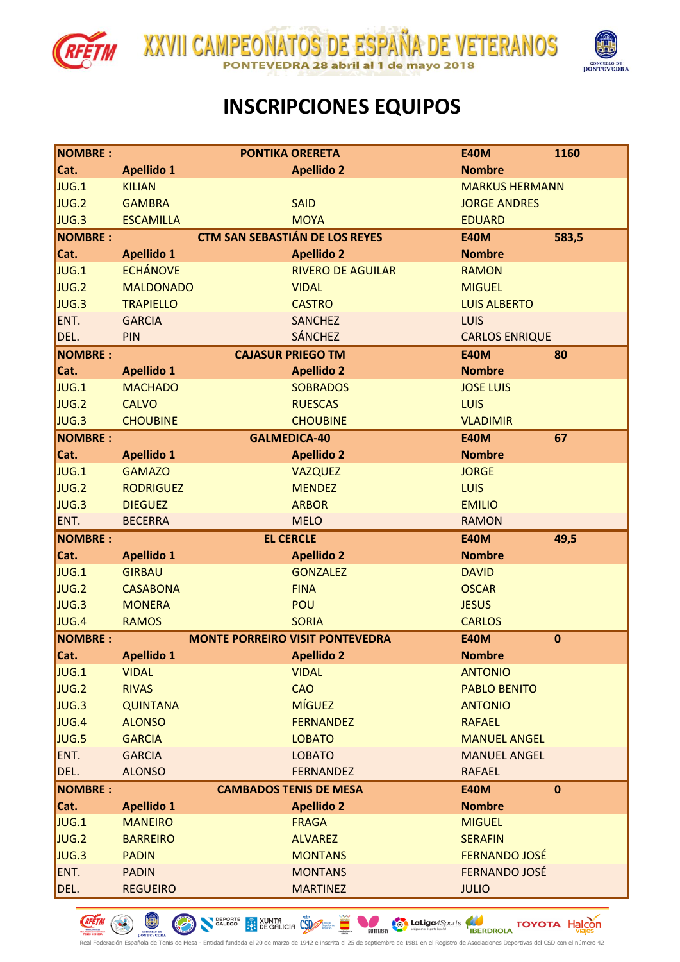

**REETIN** CO PONTEVEDRA

 $\begin{pmatrix} 1 \\ 2 \end{pmatrix}$ 

ola de Tenis de Mesa





## **INSCRIPCIONES EQUIPOS**

| <b>NOMBRE:</b> |                                 | <b>PONTIKA ORERETA</b>                 | <b>E40M</b>                          | 1160        |
|----------------|---------------------------------|----------------------------------------|--------------------------------------|-------------|
| Cat.           | <b>Apellido 1</b>               | <b>Apellido 2</b>                      | <b>Nombre</b>                        |             |
| JUG.1          | <b>KILIAN</b>                   |                                        | <b>MARKUS HERMANN</b>                |             |
| JUG.2          | <b>GAMBRA</b>                   | <b>SAID</b>                            | <b>JORGE ANDRES</b>                  |             |
| JUG.3          | <b>ESCAMILLA</b>                | <b>MOYA</b>                            | <b>EDUARD</b>                        |             |
| <b>NOMBRE:</b> |                                 | <b>CTM SAN SEBASTIÁN DE LOS REYES</b>  | <b>E40M</b>                          | 583,5       |
| Cat.           | <b>Apellido 1</b>               | <b>Apellido 2</b>                      | <b>Nombre</b>                        |             |
| JUG.1          | <b>ECHÁNOVE</b>                 | <b>RIVERO DE AGUILAR</b>               | <b>RAMON</b>                         |             |
| JUG.2          | <b>MALDONADO</b>                | <b>VIDAL</b>                           | <b>MIGUEL</b>                        |             |
| JUG.3          | <b>TRAPIELLO</b>                | <b>CASTRO</b>                          | <b>LUIS ALBERTO</b>                  |             |
| ENT.           | <b>GARCIA</b>                   | <b>SANCHEZ</b>                         | <b>LUIS</b>                          |             |
| DEL.           | PIN                             | <b>SÁNCHEZ</b>                         | <b>CARLOS ENRIQUE</b>                |             |
| <b>NOMBRE:</b> |                                 | <b>CAJASUR PRIEGO TM</b>               | <b>E40M</b>                          | 80          |
| Cat.           | <b>Apellido 1</b>               | <b>Apellido 2</b>                      | <b>Nombre</b>                        |             |
| JUG.1          | <b>MACHADO</b>                  | <b>SOBRADOS</b>                        | <b>JOSE LUIS</b>                     |             |
| JUG.2          | <b>CALVO</b>                    | <b>RUESCAS</b>                         | <b>LUIS</b>                          |             |
| JUG.3          | <b>CHOUBINE</b>                 | <b>CHOUBINE</b>                        | <b>VLADIMIR</b>                      |             |
| <b>NOMBRE:</b> |                                 | <b>GALMEDICA-40</b>                    | <b>E40M</b>                          | 67          |
| Cat.           | <b>Apellido 1</b>               | <b>Apellido 2</b>                      | <b>Nombre</b>                        |             |
| JUG.1          | <b>GAMAZO</b>                   | <b>VAZQUEZ</b>                         | <b>JORGE</b>                         |             |
| JUG.2          | <b>RODRIGUEZ</b>                | <b>MENDEZ</b>                          | <b>LUIS</b>                          |             |
| JUG.3          | <b>DIEGUEZ</b>                  | <b>ARBOR</b>                           | <b>EMILIO</b>                        |             |
| ENT.           | <b>BECERRA</b>                  | <b>MELO</b>                            | <b>RAMON</b>                         |             |
|                |                                 |                                        |                                      |             |
| <b>NOMBRE:</b> |                                 | <b>EL CERCLE</b>                       | <b>E40M</b>                          | 49,5        |
| Cat.           | <b>Apellido 1</b>               | <b>Apellido 2</b>                      | <b>Nombre</b>                        |             |
| JUG.1          | <b>GIRBAU</b>                   | <b>GONZALEZ</b>                        | <b>DAVID</b>                         |             |
| JUG.2          | <b>CASABONA</b>                 | <b>FINA</b>                            | <b>OSCAR</b>                         |             |
| JUG.3          | <b>MONERA</b>                   | <b>POU</b>                             | <b>JESUS</b>                         |             |
| JUG.4          | <b>RAMOS</b>                    | <b>SORIA</b>                           | <b>CARLOS</b>                        |             |
| <b>NOMBRE:</b> |                                 | <b>MONTE PORREIRO VISIT PONTEVEDRA</b> | <b>E40M</b>                          | $\bf{0}$    |
| Cat.           | <b>Apellido 1</b>               | <b>Apellido 2</b>                      | <b>Nombre</b>                        |             |
| JUG.1          | <b>VIDAL</b>                    | <b>VIDAL</b>                           | <b>ANTONIO</b>                       |             |
| JUG.2          | <b>RIVAS</b>                    | <b>CAO</b>                             | <b>PABLO BENITO</b>                  |             |
| JUG.3          | <b>QUINTANA</b>                 | <b>MÍGUEZ</b>                          | <b>ANTONIO</b>                       |             |
| JUG.4          | <b>ALONSO</b>                   | <b>FERNANDEZ</b>                       | <b>RAFAEL</b>                        |             |
| JUG.5          | <b>GARCIA</b>                   | <b>LOBATO</b>                          | <b>MANUEL ANGEL</b>                  |             |
| ENT.           | <b>GARCIA</b>                   | <b>LOBATO</b>                          | <b>MANUEL ANGEL</b>                  |             |
| DEL.           | <b>ALONSO</b>                   | <b>FERNANDEZ</b>                       | <b>RAFAEL</b>                        |             |
| <b>NOMBRE:</b> |                                 | <b>CAMBADOS TENIS DE MESA</b>          | <b>E40M</b>                          | $\mathbf 0$ |
| Cat.           | <b>Apellido 1</b>               | <b>Apellido 2</b>                      | <b>Nombre</b>                        |             |
| JUG.1          | <b>MANEIRO</b>                  | <b>FRAGA</b>                           | <b>MIGUEL</b>                        |             |
| JUG.2          | <b>BARREIRO</b>                 | <b>ALVAREZ</b>                         | <b>SERAFIN</b>                       |             |
| JUG.3          | <b>PADIN</b>                    | <b>MONTANS</b>                         | <b>FERNANDO JOSÉ</b>                 |             |
| ENT.<br>DEL.   | <b>PADIN</b><br><b>REGUEIRO</b> | <b>MONTANS</b><br><b>MARTINEZ</b>      | <b>FERNANDO JOSÉ</b><br><b>JULIO</b> |             |

SALEGO **PRODUCTS** SUNTA COMPANY

BUTTERFLY

de 1942 e inscrita el 25 de septiembre de 1981

**Latiga** 4Sports **COVOTA** Halcon

de Asociaciones Deportivas del CSD con el número 42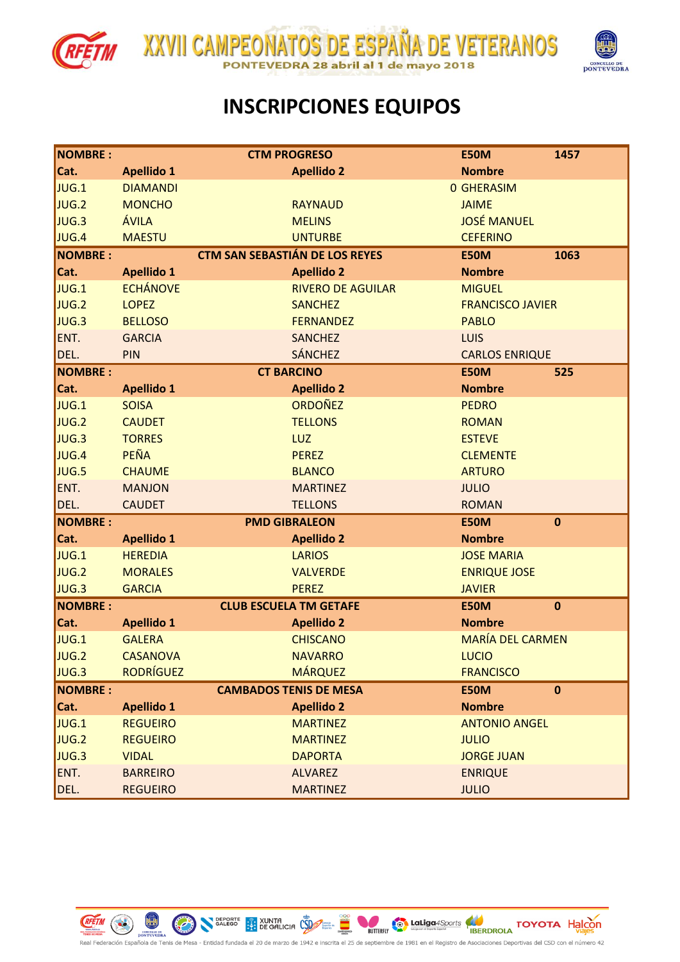





#### **INSCRIPCIONES EQUIPOS**

| NOMBRE :       |                   | <b>CTM PROGRESO</b>                   | <b>E50M</b>             | 1457        |
|----------------|-------------------|---------------------------------------|-------------------------|-------------|
| Cat.           | <b>Apellido 1</b> | <b>Apellido 2</b>                     | <b>Nombre</b>           |             |
| JUG.1          | <b>DIAMANDI</b>   |                                       | <b>0 GHERASIM</b>       |             |
| JUG.2          | <b>MONCHO</b>     | <b>RAYNAUD</b>                        | <b>JAIME</b>            |             |
| JUG.3          | ÁVILA             | <b>MELINS</b>                         | <b>JOSÉ MANUEL</b>      |             |
| JUG.4          | <b>MAESTU</b>     | <b>UNTURBE</b>                        | <b>CEFERINO</b>         |             |
| <b>NOMBRE:</b> |                   | <b>CTM SAN SEBASTIÁN DE LOS REYES</b> | <b>E50M</b>             | 1063        |
| Cat.           | <b>Apellido 1</b> | <b>Apellido 2</b>                     | <b>Nombre</b>           |             |
| JUG.1          | <b>ECHÁNOVE</b>   | <b>RIVERO DE AGUILAR</b>              | <b>MIGUEL</b>           |             |
| JUG.2          | <b>LOPEZ</b>      | <b>SANCHEZ</b>                        | <b>FRANCISCO JAVIER</b> |             |
| JUG.3          | <b>BELLOSO</b>    | <b>FERNANDEZ</b>                      | <b>PABLO</b>            |             |
| ENT.           | <b>GARCIA</b>     | <b>SANCHEZ</b>                        | <b>LUIS</b>             |             |
| DEL.           | PIN               | <b>SÁNCHEZ</b>                        | <b>CARLOS ENRIQUE</b>   |             |
| <b>NOMBRE:</b> |                   | <b>CT BARCINO</b>                     | <b>E50M</b>             | 525         |
| Cat.           | <b>Apellido 1</b> | <b>Apellido 2</b>                     | <b>Nombre</b>           |             |
| JUG.1          | <b>SOISA</b>      | <b>ORDOÑEZ</b>                        | <b>PEDRO</b>            |             |
| JUG.2          | <b>CAUDET</b>     | <b>TELLONS</b>                        | <b>ROMAN</b>            |             |
| JUG.3          | <b>TORRES</b>     | LUZ                                   | <b>ESTEVE</b>           |             |
| JUG.4          | PEÑA              | <b>PEREZ</b>                          | <b>CLEMENTE</b>         |             |
| JUG.5          | <b>CHAUME</b>     | <b>BLANCO</b>                         | <b>ARTURO</b>           |             |
| ENT.           | <b>MANJON</b>     | <b>MARTINEZ</b>                       | <b>JULIO</b>            |             |
| DEL.           | <b>CAUDET</b>     | <b>TELLONS</b>                        | <b>ROMAN</b>            |             |
| <b>NOMBRE:</b> |                   | <b>PMD GIBRALEON</b>                  | <b>E50M</b>             | $\mathbf 0$ |
| Cat.           | <b>Apellido 1</b> | <b>Apellido 2</b>                     | <b>Nombre</b>           |             |
| JUG.1          | <b>HEREDIA</b>    | <b>LARIOS</b>                         | <b>JOSE MARIA</b>       |             |
| JUG.2          | <b>MORALES</b>    | <b>VALVERDE</b>                       | <b>ENRIQUE JOSE</b>     |             |
| JUG.3          | <b>GARCIA</b>     | <b>PEREZ</b>                          | <b>JAVIER</b>           |             |
| <b>NOMBRE:</b> |                   | <b>CLUB ESCUELA TM GETAFE</b>         | <b>E50M</b>             | $\mathbf 0$ |
| Cat.           | <b>Apellido 1</b> | <b>Apellido 2</b>                     | <b>Nombre</b>           |             |
| JUG.1          | <b>GALERA</b>     | <b>CHISCANO</b>                       | <b>MARÍA DEL CARMEN</b> |             |
| JUG.2          | <b>CASANOVA</b>   | <b>NAVARRO</b>                        | <b>LUCIO</b>            |             |
| JUG.3          | <b>RODRÍGUEZ</b>  | <b>MÁRQUEZ</b>                        | <b>FRANCISCO</b>        |             |
| NOMBRE :       |                   | <b>CAMBADOS TENIS DE MESA</b>         | <b>E50M</b>             | $\mathbf 0$ |
| Cat.           | <b>Apellido 1</b> | <b>Apellido 2</b>                     | <b>Nombre</b>           |             |
| JUG.1          | <b>REGUEIRO</b>   | <b>MARTINEZ</b>                       | <b>ANTONIO ANGEL</b>    |             |
| JUG.2          | <b>REGUEIRO</b>   | <b>MARTINEZ</b>                       | <b>JULIO</b>            |             |
| JUG.3          | <b>VIDAL</b>      | <b>DAPORTA</b>                        | <b>JORGE JUAN</b>       |             |
| ENT.           | <b>BARREIRO</b>   | <b>ALVAREZ</b>                        | <b>ENRIQUE</b>          |             |
| DEL.           | <b>REGUEIRO</b>   | <b>MARTINEZ</b>                       | <b>JULIO</b>            |             |

SALEGO **EPORTE** XUNTA COM

 $\bigodot$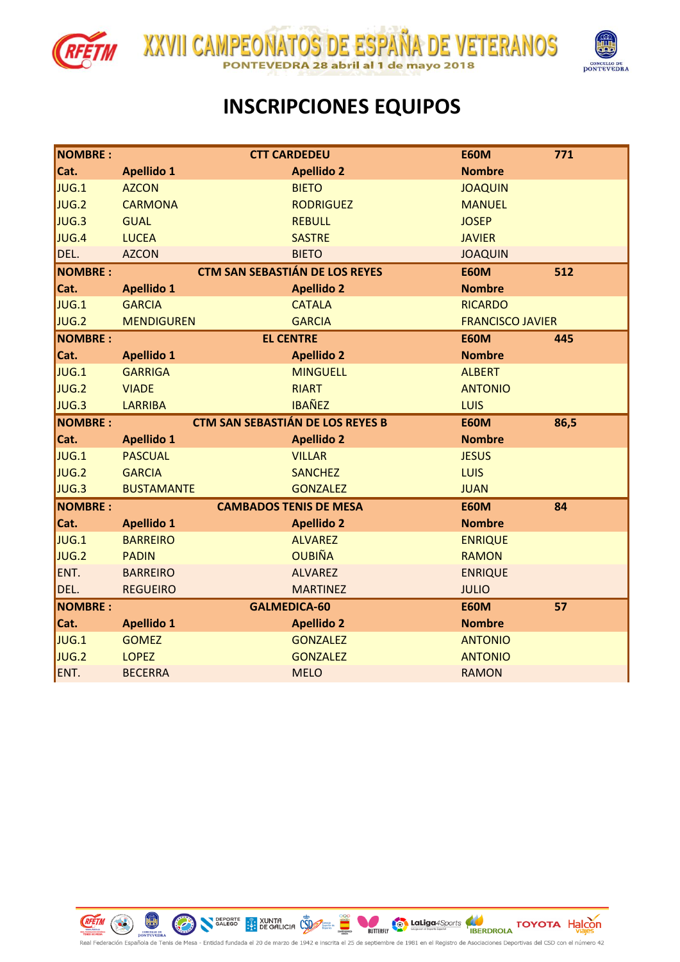





## **INSCRIPCIONES EQUIPOS**

| <b>NOMBRE:</b> |                                | <b>CTT CARDEDEU</b>                     | <b>E60M</b>                    | 771  |
|----------------|--------------------------------|-----------------------------------------|--------------------------------|------|
| Cat.           | <b>Apellido 1</b>              | <b>Apellido 2</b>                       | <b>Nombre</b>                  |      |
| JUG.1          | <b>AZCON</b>                   | <b>BIETO</b>                            | <b>JOAQUIN</b>                 |      |
| JUG.2          | <b>CARMONA</b>                 | <b>RODRIGUEZ</b>                        | <b>MANUEL</b>                  |      |
| JUG.3          | <b>GUAL</b>                    | <b>REBULL</b>                           | <b>JOSEP</b>                   |      |
| JUG.4          | <b>LUCEA</b>                   | <b>SASTRE</b>                           | <b>JAVIER</b>                  |      |
| DEL.           | <b>AZCON</b>                   | <b>BIETO</b>                            | <b>JOAQUIN</b>                 |      |
| <b>NOMBRE:</b> |                                | <b>CTM SAN SEBASTIÁN DE LOS REYES</b>   | <b>E60M</b>                    | 512  |
| Cat.           | <b>Apellido 1</b>              | <b>Apellido 2</b>                       | <b>Nombre</b>                  |      |
| JUG.1          | <b>GARCIA</b>                  | <b>CATALA</b>                           | <b>RICARDO</b>                 |      |
| JUG.2          | <b>MENDIGUREN</b>              | <b>GARCIA</b>                           | <b>FRANCISCO JAVIER</b>        |      |
| <b>NOMBRE:</b> |                                | <b>EL CENTRE</b>                        | <b>E60M</b>                    | 445  |
| Cat.           | <b>Apellido 1</b>              | <b>Apellido 2</b>                       | <b>Nombre</b>                  |      |
| JUG.1          | <b>GARRIGA</b>                 | <b>MINGUELL</b>                         | <b>ALBERT</b>                  |      |
| JUG.2          | <b>VIADE</b>                   | <b>RIART</b>                            | <b>ANTONIO</b>                 |      |
| JUG.3          | <b>LARRIBA</b>                 | <b>IBAÑEZ</b>                           | <b>LUIS</b>                    |      |
| <b>NOMBRE:</b> |                                | <b>CTM SAN SEBASTIÁN DE LOS REYES B</b> | <b>E60M</b>                    | 86,5 |
|                |                                |                                         |                                |      |
| Cat.           | <b>Apellido 1</b>              | <b>Apellido 2</b>                       | <b>Nombre</b>                  |      |
| JUG.1          | <b>PASCUAL</b>                 | <b>VILLAR</b>                           | <b>JESUS</b>                   |      |
| JUG.2          | <b>GARCIA</b>                  | <b>SANCHEZ</b>                          | <b>LUIS</b>                    |      |
| JUG.3          | <b>BUSTAMANTE</b>              | <b>GONZALEZ</b>                         | <b>JUAN</b>                    |      |
| <b>NOMBRE:</b> |                                | <b>CAMBADOS TENIS DE MESA</b>           | <b>E60M</b>                    | 84   |
| Cat.           | <b>Apellido 1</b>              | <b>Apellido 2</b>                       | <b>Nombre</b>                  |      |
| JUG.1          | <b>BARREIRO</b>                | <b>ALVAREZ</b>                          | <b>ENRIQUE</b>                 |      |
| JUG.2          | <b>PADIN</b>                   | <b>OUBIÑA</b>                           | <b>RAMON</b>                   |      |
| ENT.           | <b>BARREIRO</b>                | <b>ALVAREZ</b>                          | <b>ENRIQUE</b>                 |      |
| DEL.           | <b>REGUEIRO</b>                | <b>MARTINEZ</b>                         | <b>JULIO</b>                   |      |
| <b>NOMBRE:</b> |                                | <b>GALMEDICA-60</b>                     | <b>E60M</b>                    | 57   |
| Cat.           | <b>Apellido 1</b>              | <b>Apellido 2</b>                       | <b>Nombre</b>                  |      |
| JUG.1          | <b>GOMEZ</b>                   | <b>GONZALEZ</b>                         | <b>ANTONIO</b>                 |      |
| JUG.2<br>ENT.  | <b>LOPEZ</b><br><b>BECERRA</b> | <b>GONZALEZ</b><br><b>MELO</b>          | <b>ANTONIO</b><br><b>RAMON</b> |      |



 $\begin{pmatrix} 1 \\ 2 \end{pmatrix}$